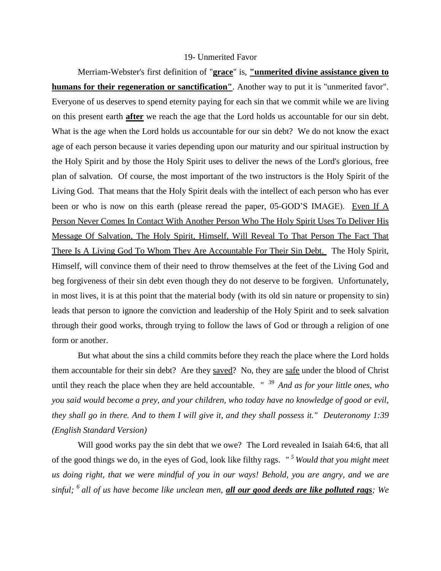## 19- Unmerited Favor

Merriam-Webster's first definition of "**grace**" is, **"unmerited divine assistance given to humans for their regeneration or sanctification"**. Another way to put it is "unmerited favor". Everyone of us deserves to spend eternity paying for each sin that we commit while we are living on this present earth **after** we reach the age that the Lord holds us accountable for our sin debt. What is the age when the Lord holds us accountable for our sin debt? We do not know the exact age of each person because it varies depending upon our maturity and our spiritual instruction by the Holy Spirit and by those the Holy Spirit uses to deliver the news of the Lord's glorious, free plan of salvation. Of course, the most important of the two instructors is the Holy Spirit of the Living God. That means that the Holy Spirit deals with the intellect of each person who has ever been or who is now on this earth (please reread the paper, 05-GOD'S IMAGE). Even If A Person Never Comes In Contact With Another Person Who The Holy Spirit Uses To Deliver His Message Of Salvation, The Holy Spirit, Himself, Will Reveal To That Person The Fact That There Is A Living God To Whom They Are Accountable For Their Sin Debt. The Holy Spirit, Himself, will convince them of their need to throw themselves at the feet of the Living God and beg forgiveness of their sin debt even though they do not deserve to be forgiven. Unfortunately, in most lives, it is at this point that the material body (with its old sin nature or propensity to sin) leads that person to ignore the conviction and leadership of the Holy Spirit and to seek salvation through their good works, through trying to follow the laws of God or through a religion of one form or another.

But what about the sins a child commits before they reach the place where the Lord holds them accountable for their sin debt? Are they saved? No, they are safe under the blood of Christ until they reach the place when they are held accountable. *" <sup>39</sup>And as for your little ones, who you said would become a prey, and your children, who today have no knowledge of good or evil, they shall go in there. And to them I will give it, and they shall possess it." Deuteronomy 1:39 (English Standard Version)*

Will good works pay the sin debt that we owe? The Lord revealed in Isaiah 64:6, that all of the good things we do, in the eyes of God, look like filthy rags. *" <sup>5</sup>Would that you might meet us doing right, that we were mindful of you in our ways! Behold, you are angry, and we are sinful; <sup>6</sup>all of us have become like unclean men, all our good deeds are like polluted rags; We*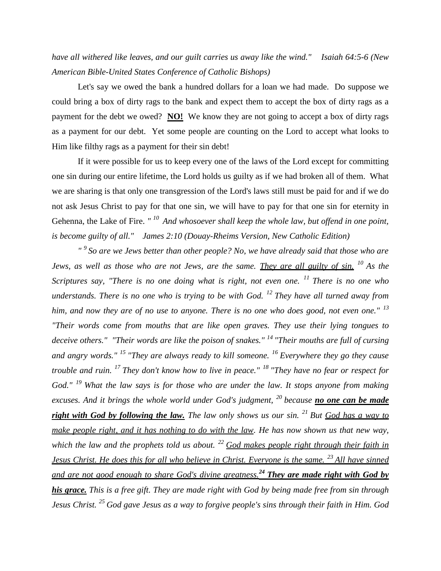## *have all withered like leaves, and our guilt carries us away like the wind." Isaiah 64:5-6 (New American Bible-United States Conference of Catholic Bishops)*

Let's say we owed the bank a hundred dollars for a loan we had made. Do suppose we could bring a box of dirty rags to the bank and expect them to accept the box of dirty rags as a payment for the debt we owed? **NO!** We know they are not going to accept a box of dirty rags as a payment for our debt. Yet some people are counting on the Lord to accept what looks to Him like filthy rags as a payment for their sin debt!

If it were possible for us to keep every one of the laws of the Lord except for committing one sin during our entire lifetime, the Lord holds us guilty as if we had broken all of them. What we are sharing is that only one transgression of the Lord's laws still must be paid for and if we do not ask Jesus Christ to pay for that one sin, we will have to pay for that one sin for eternity in Gehenna, the Lake of Fire. "<sup>10</sup> And whosoever shall keep the whole law, but offend in one point, *is become guilty of all." James 2:10 (Douay-Rheims Version, New Catholic Edition)*

*" <sup>9</sup>So are we Jews better than other people? No, we have already said that those who are Jews, as well as those who are not Jews, are the same. They are all guilty of sin. <sup>10</sup>As the Scriptures say, "There is no one doing what is right, not even one. <sup>11</sup>There is no one who understands. There is no one who is trying to be with God. <sup>12</sup>They have all turned away from him, and now they are of no use to anyone. There is no one who does good, not even one." <sup>13</sup> "Their words come from mouths that are like open graves. They use their lying tongues to deceive others." "Their words are like the poison of snakes." <sup>14</sup>"Their mouths are full of cursing and angry words." <sup>15</sup>"They are always ready to kill someone. <sup>16</sup>Everywhere they go they cause trouble and ruin. <sup>17</sup>They don't know how to live in peace." <sup>18</sup>"They have no fear or respect for God." <sup>19</sup>What the law says is for those who are under the law. It stops anyone from making excuses. And it brings the whole world under God's judgment, <sup>20</sup>because no one can be made right with God by following the law. The law only shows us our sin. <sup>21</sup>But God has a way to make people right, and it has nothing to do with the law. He has now shown us that new way, which the law and the prophets told us about. <sup>22</sup>God makes people right through their faith in Jesus Christ. He does this for all who believe in Christ. Everyone is the same. <sup>23</sup>All have sinned and are not good enough to share God's divine greatness.<sup>24</sup>They are made right with God by his grace. This is a free gift. They are made right with God by being made free from sin through Jesus Christ. <sup>25</sup>God gave Jesus as a way to forgive people's sins through their faith in Him. God*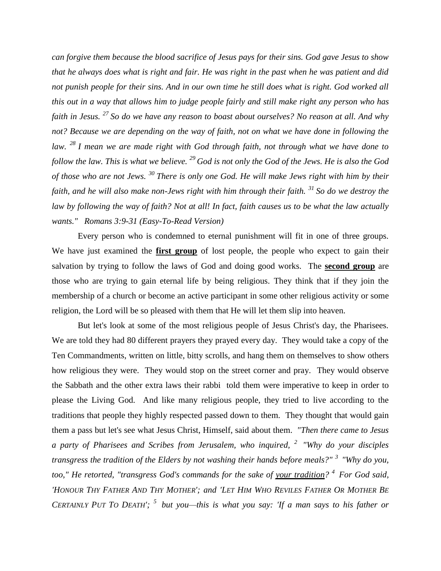*can forgive them because the blood sacrifice of Jesus pays for their sins. God gave Jesus to show that he always does what is right and fair. He was right in the past when he was patient and did not punish people for their sins. And in our own time he still does what is right. God worked all this out in a way that allows him to judge people fairly and still make right any person who has faith in Jesus. <sup>27</sup>So do we have any reason to boast about ourselves? No reason at all. And why not? Because we are depending on the way of faith, not on what we have done in following the law. <sup>28</sup>I mean we are made right with God through faith, not through what we have done to follow the law. This is what we believe. <sup>29</sup>God is not only the God of the Jews. He is also the God of those who are not Jews. <sup>30</sup>There is only one God. He will make Jews right with him by their faith, and he will also make non-Jews right with him through their faith. <sup>31</sup>So do we destroy the law by following the way of faith? Not at all! In fact, faith causes us to be what the law actually wants." Romans 3:9-31 (Easy-To-Read Version)*

Every person who is condemned to eternal punishment will fit in one of three groups. We have just examined the **first group** of lost people, the people who expect to gain their salvation by trying to follow the laws of God and doing good works. The **second group** are those who are trying to gain eternal life by being religious. They think that if they join the membership of a church or become an active participant in some other religious activity or some religion, the Lord will be so pleased with them that He will let them slip into heaven.

But let's look at some of the most religious people of Jesus Christ's day, the Pharisees. We are told they had 80 different prayers they prayed every day. They would take a copy of the Ten Commandments, written on little, bitty scrolls, and hang them on themselves to show others how religious they were. They would stop on the street corner and pray. They would observe the Sabbath and the other extra laws their rabbi told them were imperative to keep in order to please the Living God. And like many religious people, they tried to live according to the traditions that people they highly respected passed down to them. They thought that would gain them a pass but let's see what Jesus Christ, Himself, said about them. *"Then there came to Jesus a party of Pharisees and Scribes from Jerusalem, who inquired, <sup>2</sup>"Why do your disciples transgress the tradition of the Elders by not washing their hands before meals?" <sup>3</sup>"Why do you, too," He retorted, "transgress God's commands for the sake of your tradition? <sup>4</sup>For God said,*  'HONOUR THY FATHER AND THY MOTHER'; and 'LET HIM WHO REVILES FATHER OR MOTHER BE *CERTAINLY PUT TO DEATH'; <sup>5</sup>but you—this is what you say: 'If a man says to his father or*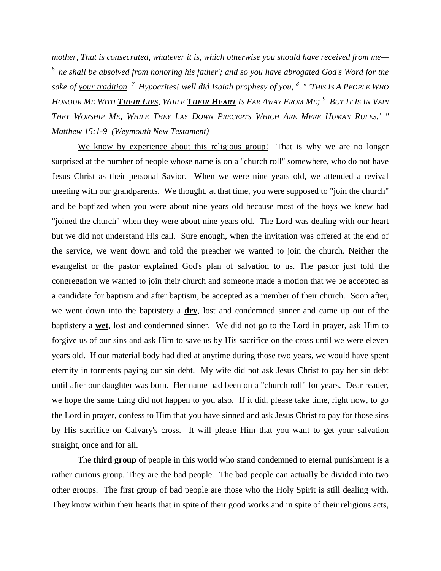*mother, That is consecrated, whatever it is, which otherwise you should have received from me— <sup>6</sup>he shall be absolved from honoring his father'; and so you have abrogated God's Word for the sake of your tradition. <sup>7</sup>Hypocrites! well did Isaiah prophesy of you, <sup>8</sup>" 'THIS IS A PEOPLE WHO*  Honour Me With <mark>Their Lips</mark>, While <mark>Their Heart</mark> Is Far Away From Me; <sup>9</sup> But It Is In Vain THEY WORSHIP ME, WHILE THEY LAY DOWN PRECEPTS WHICH ARE MERE HUMAN RULES.' " *Matthew 15:1-9 (Weymouth New Testament)*

We know by experience about this religious group! That is why we are no longer surprised at the number of people whose name is on a "church roll" somewhere, who do not have Jesus Christ as their personal Savior. When we were nine years old, we attended a revival meeting with our grandparents. We thought, at that time, you were supposed to "join the church" and be baptized when you were about nine years old because most of the boys we knew had "joined the church" when they were about nine years old. The Lord was dealing with our heart but we did not understand His call. Sure enough, when the invitation was offered at the end of the service, we went down and told the preacher we wanted to join the church. Neither the evangelist or the pastor explained God's plan of salvation to us. The pastor just told the congregation we wanted to join their church and someone made a motion that we be accepted as a candidate for baptism and after baptism, be accepted as a member of their church. Soon after, we went down into the baptistery a **dry**, lost and condemned sinner and came up out of the baptistery a **wet**, lost and condemned sinner. We did not go to the Lord in prayer, ask Him to forgive us of our sins and ask Him to save us by His sacrifice on the cross until we were eleven years old. If our material body had died at anytime during those two years, we would have spent eternity in torments paying our sin debt. My wife did not ask Jesus Christ to pay her sin debt until after our daughter was born. Her name had been on a "church roll" for years. Dear reader, we hope the same thing did not happen to you also. If it did, please take time, right now, to go the Lord in prayer, confess to Him that you have sinned and ask Jesus Christ to pay for those sins by His sacrifice on Calvary's cross. It will please Him that you want to get your salvation straight, once and for all.

The **third group** of people in this world who stand condemned to eternal punishment is a rather curious group. They are the bad people. The bad people can actually be divided into two other groups. The first group of bad people are those who the Holy Spirit is still dealing with. They know within their hearts that in spite of their good works and in spite of their religious acts,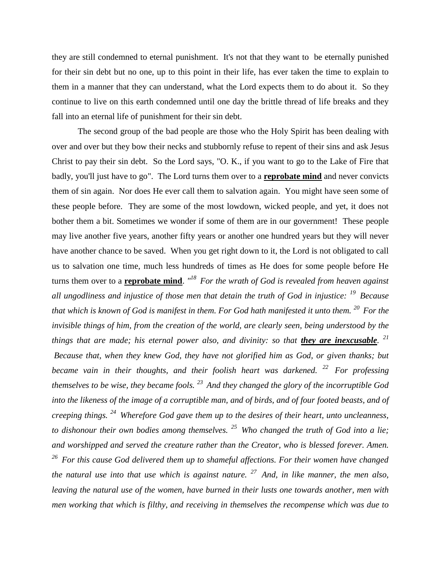they are still condemned to eternal punishment. It's not that they want to be eternally punished for their sin debt but no one, up to this point in their life, has ever taken the time to explain to them in a manner that they can understand, what the Lord expects them to do about it. So they continue to live on this earth condemned until one day the brittle thread of life breaks and they fall into an eternal life of punishment for their sin debt.

The second group of the bad people are those who the Holy Spirit has been dealing with over and over but they bow their necks and stubbornly refuse to repent of their sins and ask Jesus Christ to pay their sin debt. So the Lord says, "O. K., if you want to go to the Lake of Fire that badly, you'll just have to go". The Lord turns them over to a **reprobate mind** and never convicts them of sin again. Nor does He ever call them to salvation again. You might have seen some of these people before. They are some of the most lowdown, wicked people, and yet, it does not bother them a bit. Sometimes we wonder if some of them are in our government! These people may live another five years, another fifty years or another one hundred years but they will never have another chance to be saved. When you get right down to it, the Lord is not obligated to call us to salvation one time, much less hundreds of times as He does for some people before He turns them over to a **reprobate mind**. *" <sup>18</sup>For the wrath of God is revealed from heaven against all ungodliness and injustice of those men that detain the truth of God in injustice: <sup>19</sup>Because that which is known of God is manifest in them. For God hath manifested it unto them. <sup>20</sup>For the invisible things of him, from the creation of the world, are clearly seen, being understood by the*  things that are made; his eternal power also, and divinity: so that they are inexcusable. <sup>21</sup> *Because that, when they knew God, they have not glorified him as God, or given thanks; but became vain in their thoughts, and their foolish heart was darkened. <sup>22</sup>For professing themselves to be wise, they became fools. <sup>23</sup>And they changed the glory of the incorruptible God into the likeness of the image of a corruptible man, and of birds, and of four footed beasts, and of creeping things. <sup>24</sup>Wherefore God gave them up to the desires of their heart, unto uncleanness, to dishonour their own bodies among themselves. <sup>25</sup>Who changed the truth of God into a lie; and worshipped and served the creature rather than the Creator, who is blessed forever. Amen. <sup>26</sup>For this cause God delivered them up to shameful affections. For their women have changed the natural use into that use which is against nature. <sup>27</sup>And, in like manner, the men also, leaving the natural use of the women, have burned in their lusts one towards another, men with men working that which is filthy, and receiving in themselves the recompense which was due to*